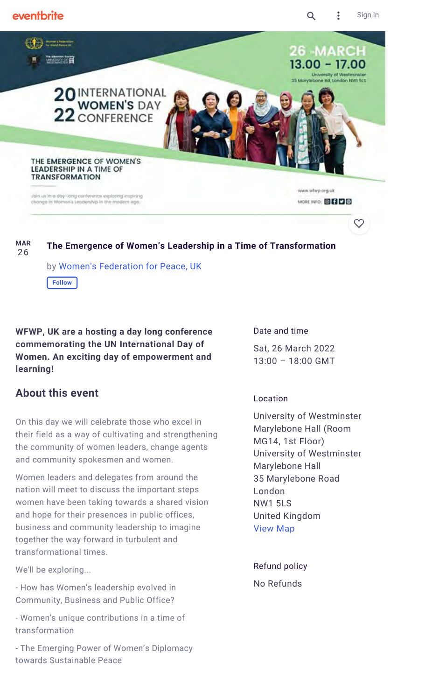

#### **The Emergence of Women's Leadership in a Time of Transformation MAR** 26

by Women's Federation for Peace, UK

**Follow**

**WFWP, UK are a hosting a day long conference commemorating the UN International Day of Women. An exciting day of empowerment and learning!**

# **About this event**

On this day we will celebrate those who excel in their field as a way of cultivating and strengthening the community of women leaders, change agents and community spokesmen and women.

Women leaders and delegates from around the nation will meet to discuss the important steps women have been taking towards a shared vision and hope for their presences in public offices, business and community leadership to imagine together the way forward in turbulent and transformational times.

We'll be exploring...

- How has Women's leadership evolved in Community, Business and Public Office?

- Women's unique contributions in a time of transformation

- The Emerging Power of Women's Diplomacy towards Sustainable Peace

#### Date and time

Sat, 26 March 2022 13:00 – 18:00 GMT

### Location

University of Westminster Marylebone Hall (Room MG14, 1st Floor) University of Westminster Marylebone Hall 35 Marylebone Road London NW1 5LS United Kingdom [View Map](#page-2-0)

Refund policy No Refunds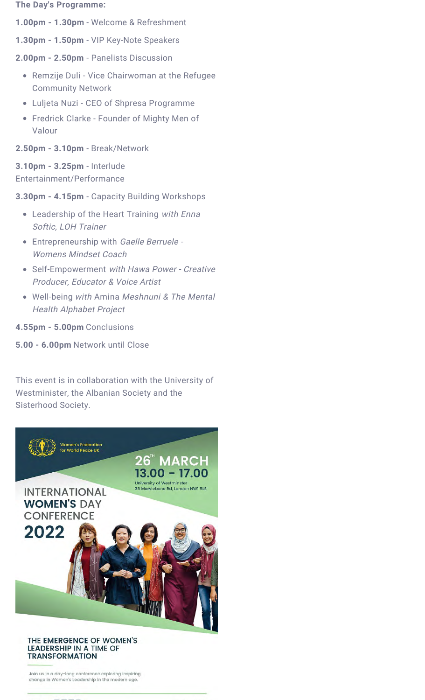#### **The Day's Programme:**

- **1.00pm 1.30pm**  Welcome & Refreshment
- **1.30pm 1.50pm** VIP Key-Note Speakers
- **2.00pm 2.50pm** Panelists Discussion
	- Remzije Duli Vice Chairwoman at the Refugee Community Network
	- Luljeta Nuzi CEO of Shpresa Programme •
	- Fredrick Clarke Founder of Mighty Men of Valour
- **2.50pm 3.10pm** Break/Network

**3.10pm - 3.25pm** - Interlude Entertainment/Performance

**3.30pm - 4.15pm** - Capacity Building Workshops

- Leadership of the Heart Training with Enna Softic, LOH Trainer
- **•** Entrepreneurship with Gaelle Berruele -Womens Mindset Coach
- Self-Empowerment with Hawa Power Creative Producer, Educator & Voice Artist
- Well-being with Amina Meshnuni & The Mental Health Alphabet Project
- **4.55pm 5.00pm** Conclusions

#### **5.00 - 6.00pm** Network until Close

This event is in collaboration with the University of Westminister, the Albanian Society and the Sisterhood Society.



#### **THE EMERGENCE OF WOMEN'S LEADERSHIP IN A TIME OF TRANSFORMATION**

Join us in a day-long conference exploring inspiring change in Women's Leadership in the modern age.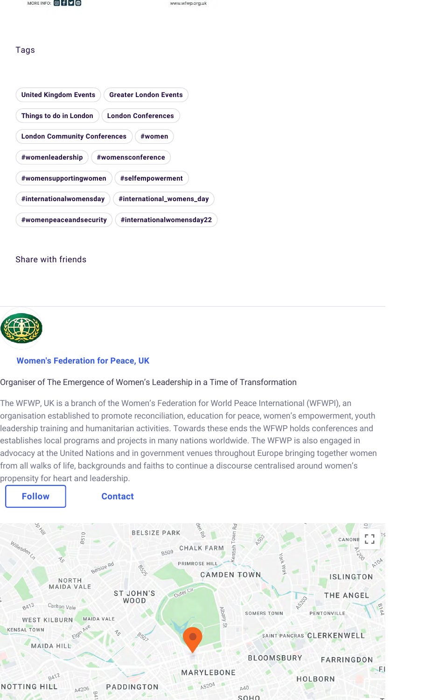

www.wfwp.org.uk

## **Tags**

| <b>United Kingdom Events</b>        | <b>Greater London Events</b> |
|-------------------------------------|------------------------------|
| Things to do in London              | <b>London Conferences</b>    |
| <b>London Community Conferences</b> | #women                       |
| #womenleadership                    | #womensconference            |
| #womensupportingwomen               | #selfempowerment             |
| #internationalwomensday             | #international_womens_day    |
| #womenpeaceandsecurity              | #internationalwomensday22    |

## Share with friends



### **Women's Federation for Peace, UK**

### Organiser of The Emergence of Women's Leadership in a Time of Transformation

The WFWP, UK is a branch of the Women's Federation for World Peace International (WFWPI), an organisation established to promote reconciliation, education for peace, women's empowerment, youth leadership training and humanitarian activities. Towards these ends the WFWP holds conferences and establishes local programs and projects in many nations worldwide. The WFWP is also engaged in advocacy at the United Nations and in government venues throughout Europe bringing together women from all walks of life, backgrounds and faiths to continue a discourse centralised around women's propensity for heart and leadership.

<span id="page-2-0"></span>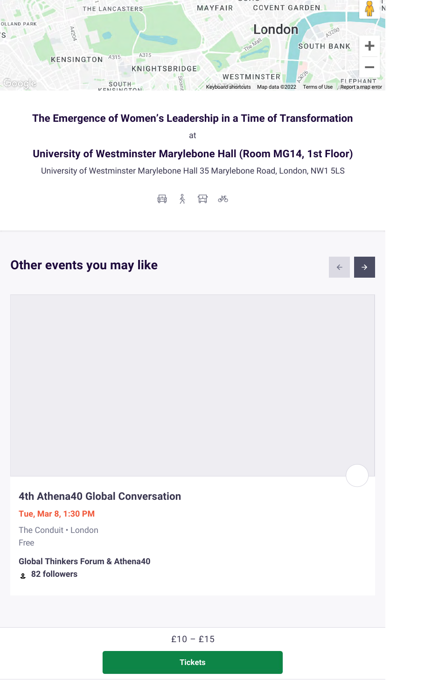

# **The Emergence of Women's Leadership in a Time of Transformation**

at

# **University of Westminster Marylebone Hall (Room MG14, 1st Floor)**

University of Westminster Marylebone Hall 35 Marylebone Road, London, NW1 5LS

母 《 冒 ぬ

 $\rightarrow$ 

 $\leftarrow$ 

# **Other events you may like**

### **4th Athena40 Global Conversation**

#### **Tue, Mar 8, 1:30 PM**

Free The Conduit • London

# **Global Thinkers Forum & Athena40**

**82 followers**

£10 – £15

**Tickets**